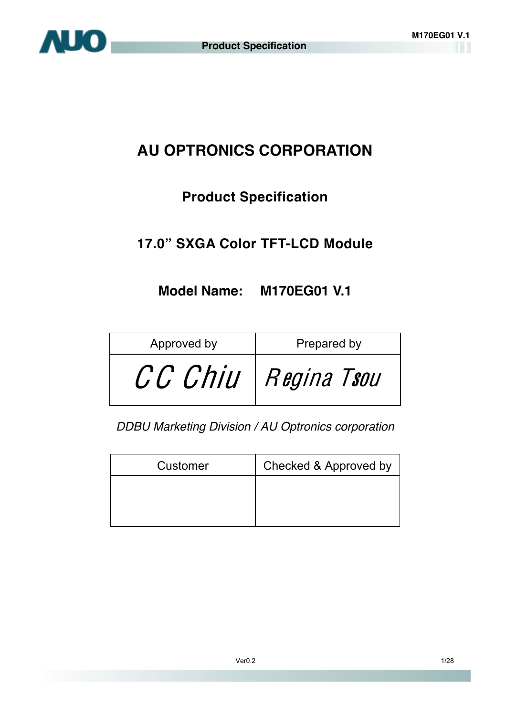# **AU OPTRONICS CORPORATION**

# **Product Specification**

# **17.0" SXGA Color TFT-LCD Module**

# **Model Name: M170EG01 V.1**

| Approved by | Prepared by |  |
|-------------|-------------|--|
| CC Chiu     | Regina Tsou |  |

*DDBU Marketing Division / AU Optronics corporation* 

| Customer | Checked & Approved by |
|----------|-----------------------|
|          |                       |
|          |                       |
|          |                       |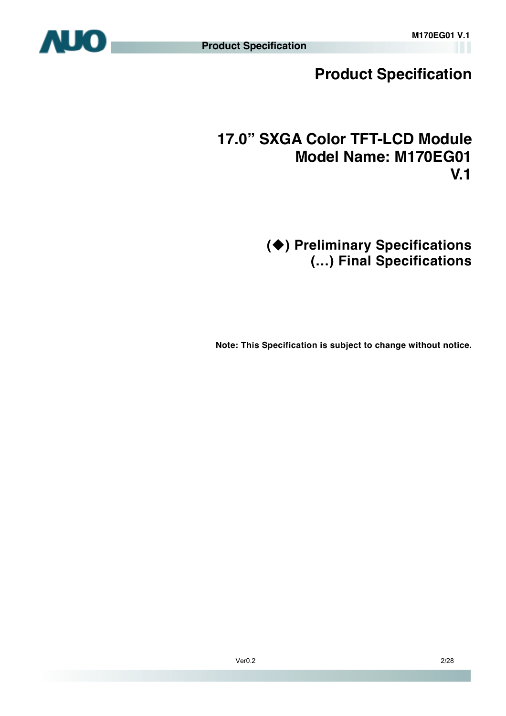

# **Product Specification**

# **17.0" SXGA Color TFT-LCD Module Model Name: M170EG01 V.1**

**() Preliminary Specifications (…) Final Specifications** 

 **Note: This Specification is subject to change without notice.**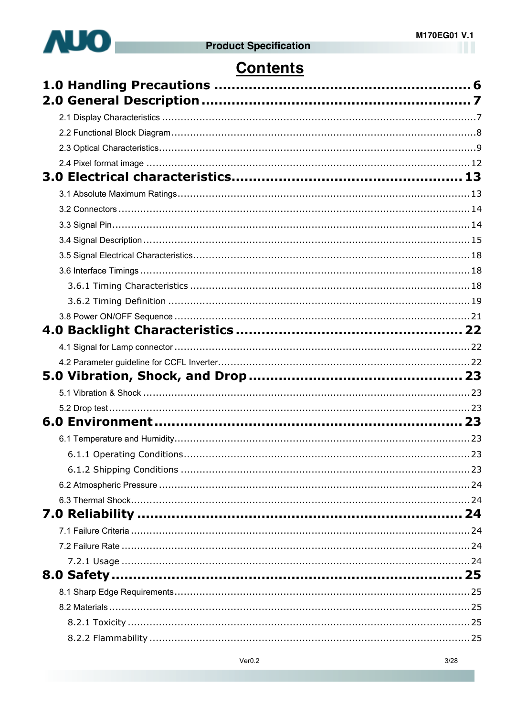

# **Contents**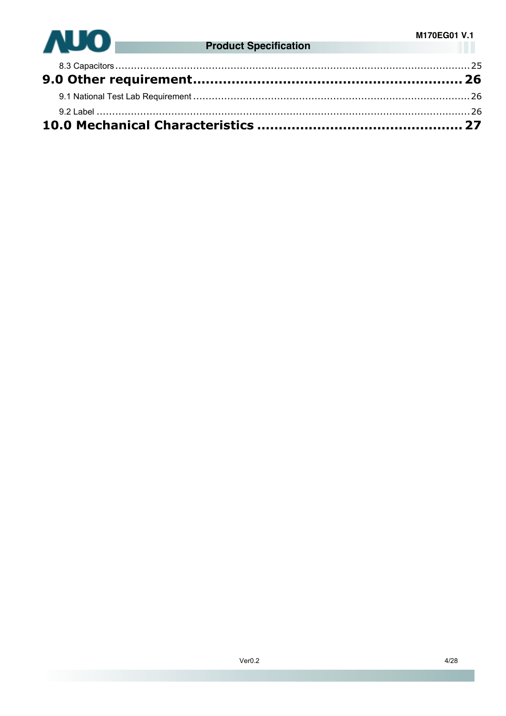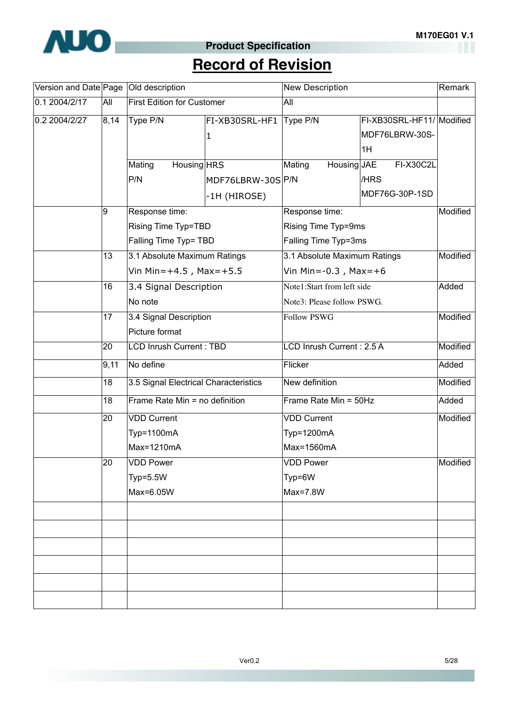

# **Product Specification**

# **Record of Revision**

|               |      | Version and Date Page   Old description |                  | <b>New Description</b>       | Remark                    |          |
|---------------|------|-----------------------------------------|------------------|------------------------------|---------------------------|----------|
| 0.1 2004/2/17 | All  | <b>First Edition for Customer</b>       |                  | All                          |                           |          |
| 0.2 2004/2/27 | 8,14 | Type P/N                                | FI-XB30SRL-HF1   | Type P/N                     | FI-XB30SRL-HF11/ Modified |          |
|               |      |                                         | $\vert$ 1        |                              | MDF76LBRW-30S-            |          |
|               |      |                                         |                  |                              | 1H                        |          |
|               |      | Mating<br>Housing HRS                   |                  | Mating<br>Housing JAE        | <b>FI-X30C2L</b>          |          |
|               |      | P/N                                     | MDF76LBRW-30SP/N |                              | /HRS                      |          |
|               |      |                                         | -1H (HIROSE)     |                              | MDF76G-30P-1SD            |          |
|               | 9    | Response time:                          |                  | Response time:               |                           | Modified |
|               |      | Rising Time Typ=TBD                     |                  | Rising Time Typ=9ms          |                           |          |
|               |      | Falling Time Typ= TBD                   |                  | Falling Time Typ=3ms         |                           |          |
|               | 13   | 3.1 Absolute Maximum Ratings            |                  | 3.1 Absolute Maximum Ratings |                           | Modified |
|               |      | Vin Min= $+4.5$ , Max= $+5.5$           |                  | Vin Min=-0.3, Max=+6         |                           |          |
|               | 16   | 3.4 Signal Description                  |                  | Note1:Start from left side   |                           | Added    |
| 17            |      | No note                                 |                  | Note3: Please follow PSWG.   |                           |          |
|               |      | 3.4 Signal Description                  |                  | <b>Follow PSWG</b>           |                           | Modified |
|               |      | Picture format                          |                  |                              |                           |          |
|               | 20   | <b>LCD Inrush Current: TBD</b>          |                  | LCD Inrush Current: 2.5 A    | Modified                  |          |
|               | 9,11 | No define                               |                  | Flicker                      |                           | Added    |
|               | 18   | 3.5 Signal Electrical Characteristics   |                  | New definition               |                           | Modified |
|               | 18   | Frame Rate Min = no definition          |                  | Frame Rate Min = 50Hz        |                           | Added    |
|               | 20   | <b>VDD Current</b>                      |                  | <b>VDD Current</b>           |                           | Modified |
|               |      | Typ=1100mA                              |                  | Typ=1200mA                   |                           |          |
|               |      | Max=1210mA                              |                  | Max=1560mA                   |                           |          |
|               | 20   | VDD Power                               |                  | <b>VDD</b> Power             |                           | Modified |
|               |      | $Typ=5.5W$                              |                  | Typ=6W                       |                           |          |
|               |      | Max=6.05W                               |                  | Max=7.8W                     |                           |          |
|               |      |                                         |                  |                              |                           |          |
|               |      |                                         |                  |                              |                           |          |
|               |      |                                         |                  |                              |                           |          |
|               |      |                                         |                  |                              |                           |          |
|               |      |                                         |                  |                              |                           |          |
|               |      |                                         |                  |                              |                           |          |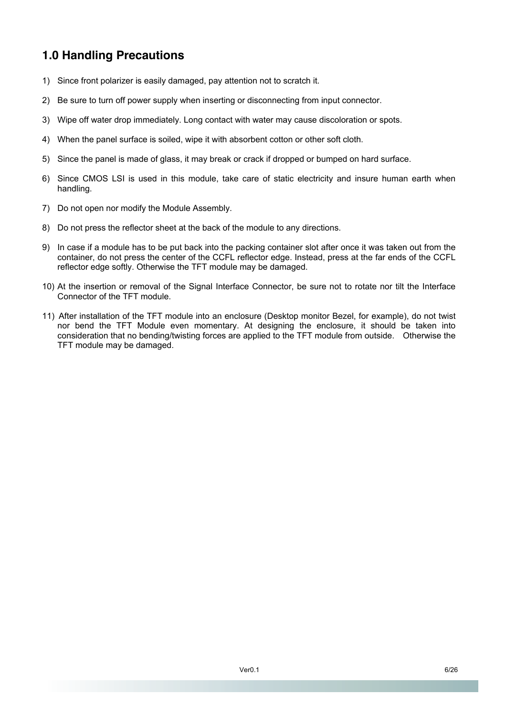# **1.0 Handling Precautions**

- 1) Since front polarizer is easily damaged, pay attention not to scratch it.
- 2) Be sure to turn off power supply when inserting or disconnecting from input connector.
- 3) Wipe off water drop immediately. Long contact with water may cause discoloration or spots.
- 4) When the panel surface is soiled, wipe it with absorbent cotton or other soft cloth.
- 5) Since the panel is made of glass, it may break or crack if dropped or bumped on hard surface.
- 6) Since CMOS LSI is used in this module, take care of static electricity and insure human earth when handling.
- 7) Do not open nor modify the Module Assembly.
- 8) Do not press the reflector sheet at the back of the module to any directions.
- 9) In case if a module has to be put back into the packing container slot after once it was taken out from the container, do not press the center of the CCFL reflector edge. Instead, press at the far ends of the CCFL reflector edge softly. Otherwise the TFT module may be damaged.
- 10) At the insertion or removal of the Signal Interface Connector, be sure not to rotate nor tilt the Interface Connector of the TFT module.
- 11) After installation of the TFT module into an enclosure (Desktop monitor Bezel, for example), do not twist nor bend the TFT Module even momentary. At designing the enclosure, it should be taken into consideration that no bending/twisting forces are applied to the TFT module from outside. Otherwise the TFT module may be damaged.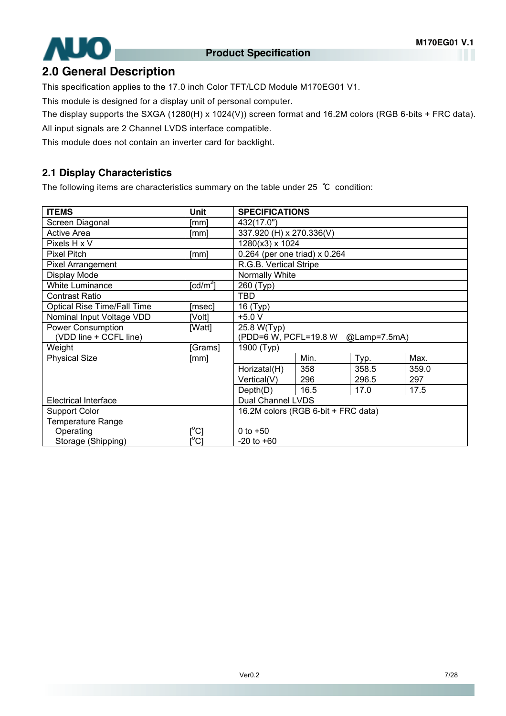

### **2.0 General Description**

This specification applies to the 17.0 inch Color TFT/LCD Module M170EG01 V1.

This module is designed for a display unit of personal computer.

The display supports the SXGA (1280(H) x 1024(V)) screen format and 16.2M colors (RGB 6-bits + FRC data).

All input signals are 2 Channel LVDS interface compatible.

This module does not contain an inverter card for backlight.

#### **2.1 Display Characteristics**

The following items are characteristics summary on the table under 25 ℃ condition:

| <b>ITEMS</b>                       | <b>Unit</b>                             | <b>SPECIFICATIONS</b>                 |      |       |       |
|------------------------------------|-----------------------------------------|---------------------------------------|------|-------|-------|
| Screen Diagonal                    | [mm]                                    | 432(17.0")                            |      |       |       |
| <b>Active Area</b>                 | [mm]                                    | 337.920 (H) x 270.336(V)              |      |       |       |
| Pixels H x V                       |                                         | 1280(x3) x 1024                       |      |       |       |
| Pixel Pitch                        | [mm]                                    | 0.264 (per one triad) x 0.264         |      |       |       |
| Pixel Arrangement                  |                                         | R.G.B. Vertical Stripe                |      |       |       |
| Display Mode                       |                                         | Normally White                        |      |       |       |
| <b>White Luminance</b>             | [ $cd/m2$ ]                             | 260 (Typ)                             |      |       |       |
| <b>Contrast Ratio</b>              |                                         | <b>TBD</b>                            |      |       |       |
| <b>Optical Rise Time/Fall Time</b> | [msec]                                  | 16 (Typ)                              |      |       |       |
| Nominal Input Voltage VDD          | [Volt]                                  | $+5.0 V$                              |      |       |       |
| <b>Power Consumption</b>           | [Watt]                                  | 25.8 W(Typ)                           |      |       |       |
| (VDD line + CCFL line)             |                                         | (PDD=6 W, PCFL=19.8 W<br>@Lamp=7.5mA) |      |       |       |
| Weight                             | [Grams]                                 | 1900 (Typ)                            |      |       |       |
| <b>Physical Size</b>               | [mm]                                    |                                       | Min. | Typ.  | Max.  |
|                                    |                                         | Horizatal(H)                          | 358  | 358.5 | 359.0 |
|                                    |                                         | Vertical(V)                           | 296  | 296.5 | 297   |
|                                    |                                         | Depth(D)                              | 16.5 | 17.0  | 17.5  |
| <b>Electrical Interface</b>        |                                         | Dual Channel LVDS                     |      |       |       |
| <b>Support Color</b>               |                                         | 16.2M colors (RGB 6-bit + FRC data)   |      |       |       |
| <b>Temperature Range</b>           |                                         |                                       |      |       |       |
| Operating                          | $\mathsf{I}^{\circ}$ Cl                 | 0 to $+50$                            |      |       |       |
| Storage (Shipping)                 | $\mathsf{I}^\circ\mathsf{C} \mathsf{I}$ | $-20$ to $+60$                        |      |       |       |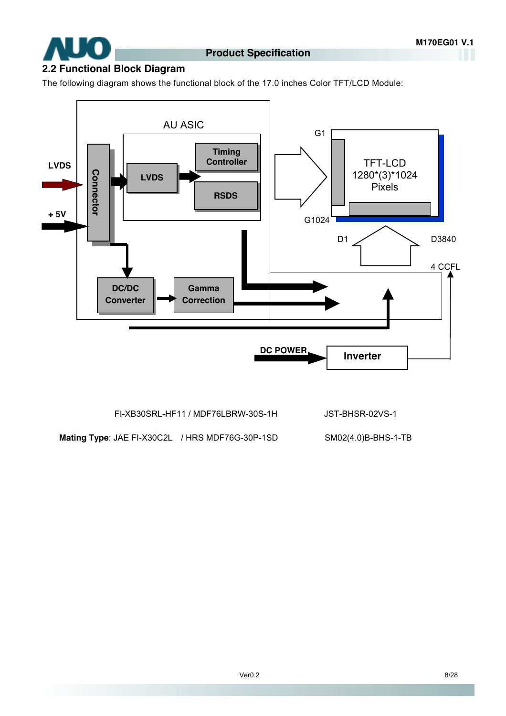

### **2.2 Functional Block Diagram**

The following diagram shows the functional block of the 17.0 inches Color TFT/LCD Module:



FI-XB30SRL-HF11 / MDF76LBRW-30S-1H JST-BHSR-02VS-1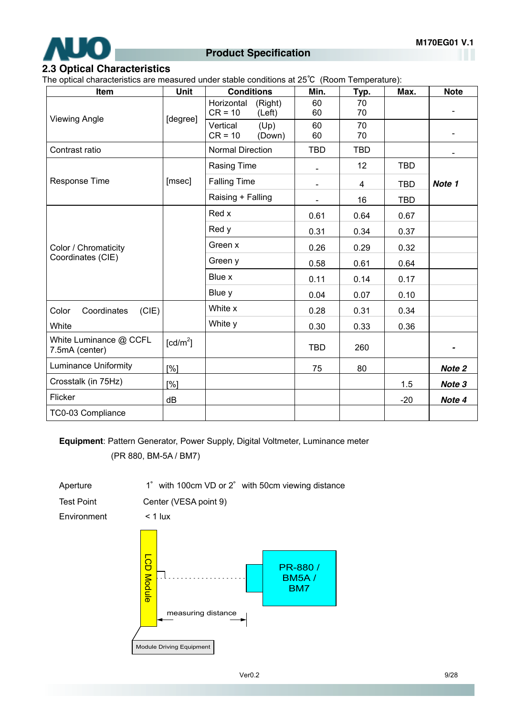

#### **Product Specification**

#### **2.3 Optical Characteristics**

The optical characteristics are measured under stable conditions at 25℃ (Room Temperature):

| Item                                     | Unit                                | <b>Conditions</b>                            | Min.           | Typ.       | Max.       | <b>Note</b>                  |
|------------------------------------------|-------------------------------------|----------------------------------------------|----------------|------------|------------|------------------------------|
|                                          |                                     | Horizontal<br>(Right)<br>$CR = 10$<br>(Left) | 60<br>60       | 70<br>70   |            | $\overline{\phantom{0}}$     |
| <b>Viewing Angle</b>                     | [degree]                            | Vertical<br>(Up)<br>$CR = 10$<br>(Down)      | 60<br>60       | 70<br>70   |            | $\qquad \qquad \blacksquare$ |
| Contrast ratio                           |                                     | <b>Normal Direction</b>                      | <b>TBD</b>     | <b>TBD</b> |            | $\blacksquare$               |
|                                          |                                     | <b>Rasing Time</b>                           |                | 12         | <b>TBD</b> |                              |
| Response Time                            | [msec]                              | <b>Falling Time</b>                          | $\blacksquare$ | 4          | <b>TBD</b> | Note 1                       |
|                                          |                                     | Raising + Falling                            |                | 16         | <b>TBD</b> |                              |
|                                          |                                     | Red x                                        | 0.61           | 0.64       | 0.67       |                              |
|                                          |                                     | Red y                                        | 0.31           | 0.34       | 0.37       |                              |
| Color / Chromaticity                     |                                     | Green x                                      | 0.26           | 0.29       | 0.32       |                              |
| Coordinates (CIE)                        |                                     | Green y                                      | 0.58           | 0.61       | 0.64       |                              |
|                                          |                                     | Blue x                                       | 0.11           | 0.14       | 0.17       |                              |
|                                          |                                     | Blue y                                       | 0.04           | 0.07       | 0.10       |                              |
| Coordinates<br>(CIE)<br>Color            |                                     | White x                                      | 0.28           | 0.31       | 0.34       |                              |
| White                                    |                                     | White y                                      | 0.30           | 0.33       | 0.36       |                              |
| White Luminance @ CCFL<br>7.5mA (center) | $\lceil$ cd/m <sup>2</sup> $\rceil$ |                                              | <b>TBD</b>     | 260        |            |                              |
| <b>Luminance Uniformity</b>              | [%]                                 |                                              | 75             | 80         |            | Note 2                       |
| Crosstalk (in 75Hz)                      | [%]                                 |                                              |                |            | 1.5        | Note 3                       |
| Flicker                                  | dB                                  |                                              |                |            | $-20$      | Note 4                       |
| TC0-03 Compliance                        |                                     |                                              |                |            |            |                              |

**Equipment**: Pattern Generator, Power Supply, Digital Voltmeter, Luminance meter

(PR 880, BM-5A / BM7)

Aperture 1° with 100cm VD or 2° with 50cm viewing distance Test Point Center (VESA point 9) Environment < 1 lux

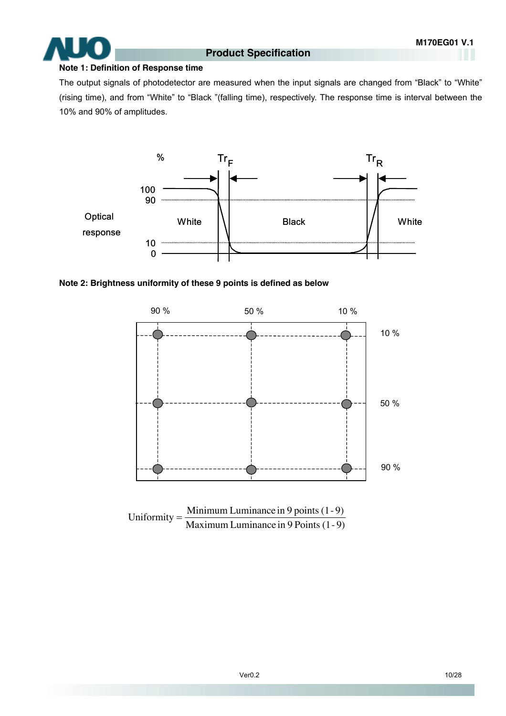#### **Note 1: Definition of Response time**

The output signals of photodetector are measured when the input signals are changed from "Black" to "White" (rising time), and from "White" to "Black "(falling time), respectively. The response time is interval between the 10% and 90% of amplitudes.





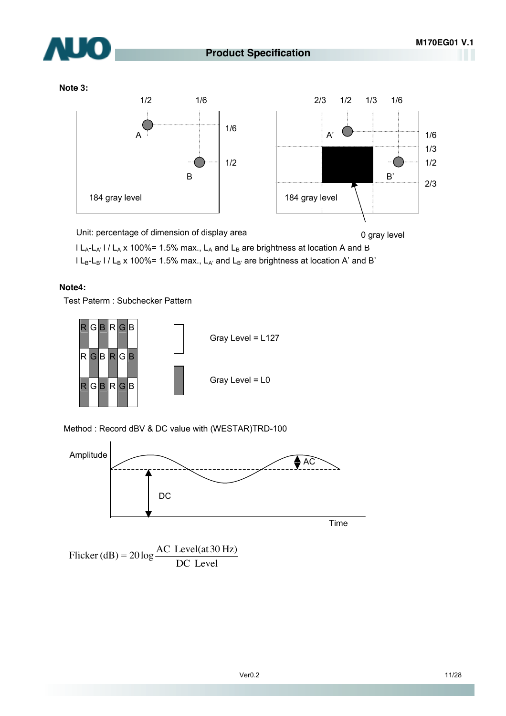

0 gray level



#### **Note 3:**



Unit: percentage of dimension of display area

 $|L_A-L_A|$  /  $L_A$  x 100%= 1.5% max.,  $L_A$  and  $L_B$  are brightness at location A and B  $l L_B-L_B$ '  $l / L_B$  x 100%= 1.5% max.,  $L_{A'}$  and  $L_{B'}$  are brightness at location A' and B'

#### **Note4:**

Test Paterm : Subchecker Pattern



Method : Record dBV & DC value with (WESTAR)TRD-100



Flicker (dB) =  $20 \log \frac{100 \text{ rev}}{DC \text{ Level}}$ Flicker (dB) =  $20 \log \frac{\text{AC Level(at 30 Hz)}}{\text{DG L}}$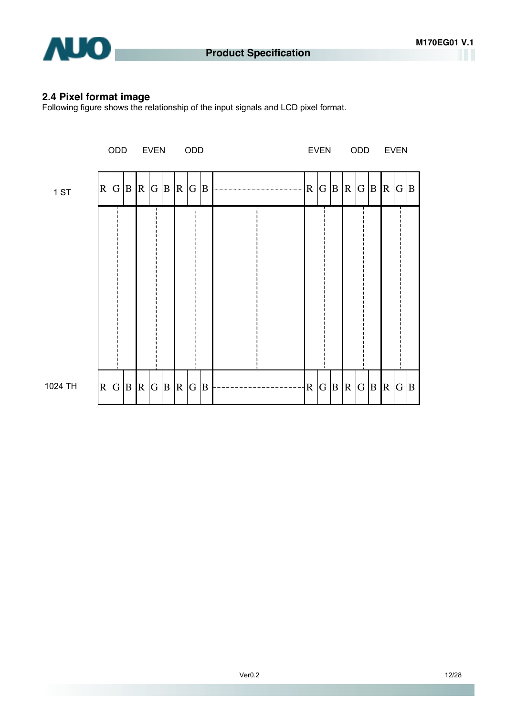

#### **2.4 Pixel format image**

Following figure shows the relationship of the input signals and LCD pixel format.

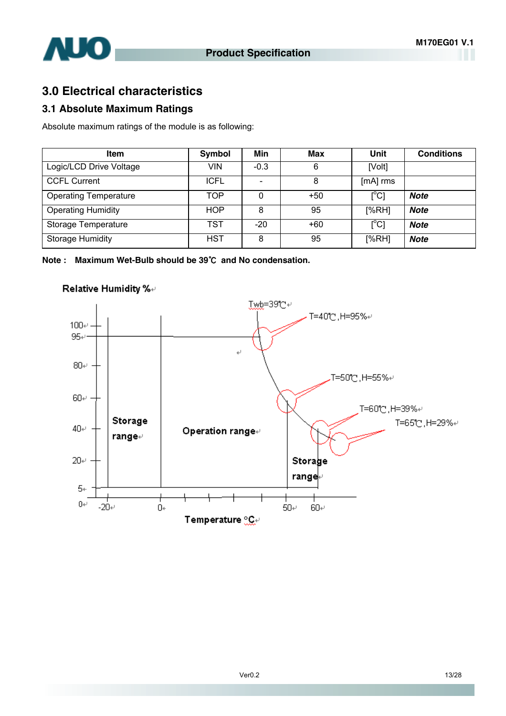

# **3.0 Electrical characteristics**

#### **3.1 Absolute Maximum Ratings**

Absolute maximum ratings of the module is as following:

| <b>Item</b>                  | <b>Symbol</b> | Min    | Max   | Unit                      | <b>Conditions</b> |
|------------------------------|---------------|--------|-------|---------------------------|-------------------|
| Logic/LCD Drive Voltage      | VIN           | $-0.3$ | 6     | [Volt]                    |                   |
| <b>CCFL Current</b>          | <b>ICFL</b>   |        | 8     | [mA] rms                  |                   |
| <b>Operating Temperature</b> | TOP           | 0      | $+50$ | $\lceil{^{\circ}C}\rceil$ | <b>Note</b>       |
| <b>Operating Humidity</b>    | <b>HOP</b>    | 8      | 95    | [%RH]                     | <b>Note</b>       |
| Storage Temperature          | <b>TST</b>    | -20    | $+60$ | $\lceil{^{\circ}C}\rceil$ | <b>Note</b>       |
| <b>Storage Humidity</b>      | HST           | 8      | 95    | [%RH]                     | <b>Note</b>       |

**Note : Maximum Wet-Bulb should be 39**℃ **and No condensation.** 



#### Relative Humidity %+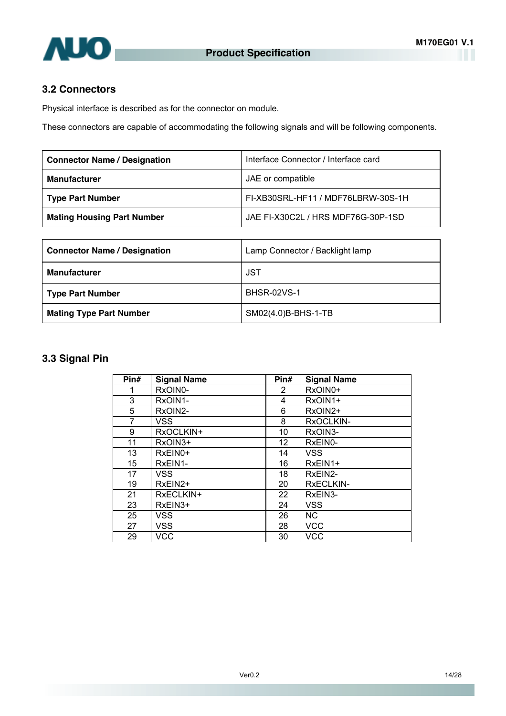

#### **3.2 Connectors**

Physical interface is described as for the connector on module.

These connectors are capable of accommodating the following signals and will be following components.

| <b>Connector Name / Designation</b> | Interface Connector / Interface card |
|-------------------------------------|--------------------------------------|
| <b>Manufacturer</b>                 | JAE or compatible                    |
| Type Part Number                    | FI-XB30SRL-HF11 / MDF76LBRW-30S-1H   |
| <b>Mating Housing Part Number</b>   | JAE FI-X30C2L / HRS MDF76G-30P-1SD   |

| <b>Connector Name / Designation</b> | Lamp Connector / Backlight lamp |
|-------------------------------------|---------------------------------|
| <b>Manufacturer</b>                 | JST                             |
| <b>Type Part Number</b>             | <b>BHSR-02VS-1</b>              |
| <b>Mating Type Part Number</b>      | SM02(4.0)B-BHS-1-TB             |

#### **3.3 Signal Pin**

| Pin# | <b>Signal Name</b> | Pin#                  | <b>Signal Name</b> |
|------|--------------------|-----------------------|--------------------|
|      | RxOIN0-            | $\mathbf{2}^{\prime}$ | RxOIN0+            |
| 3    | RxOIN1-            | 4                     | RxOIN1+            |
| 5    | RxOIN2-            | 6                     | RxOIN2+            |
| 7    | VSS.               | 8                     | RxOCLKIN-          |
| 9    | RxOCLKIN+          | 10                    | RxOIN3-            |
| 11   | RxOIN3+            | 12                    | RxEIN0-            |
| 13   | RxEIN0+            | 14                    | <b>VSS</b>         |
| 15   | RxEIN1-            | 16                    | RxEIN1+            |
| 17   | VSS.               | 18                    | RxEIN2-            |
| 19   | RxEIN2+            | 20                    | RxECLKIN-          |
| 21   | RxECLKIN+          | 22                    | RxEIN3-            |
| 23   | RxEIN3+            | 24                    | <b>VSS</b>         |
| 25   | <b>VSS</b>         | 26                    | <b>NC</b>          |
| 27   | <b>VSS</b>         | 28                    | <b>VCC</b>         |
| 29   | VCC                | 30                    | <b>VCC</b>         |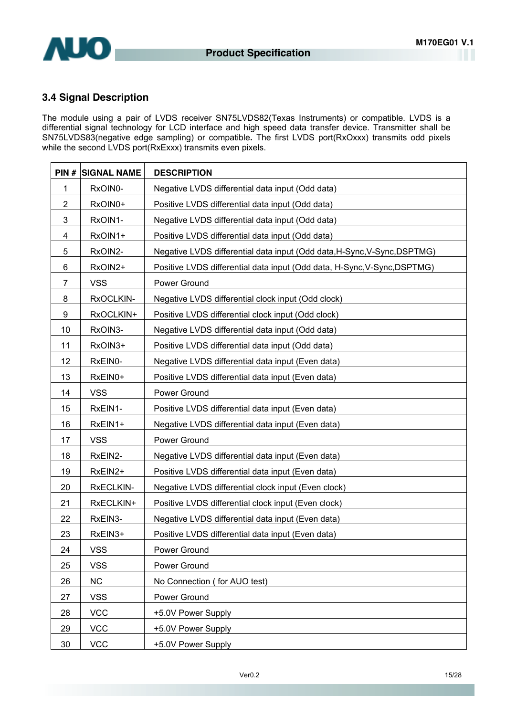

#### **3.4 Signal Description**

The module using a pair of LVDS receiver SN75LVDS82(Texas Instruments) or compatible. LVDS is a differential signal technology for LCD interface and high speed data transfer device. Transmitter shall be SN75LVDS83(negative edge sampling) or compatible**.** The first LVDS port(RxOxxx) transmits odd pixels while the second LVDS port(RxExxx) transmits even pixels.

| PIN#           | <b>SIGNAL NAME</b> | <b>DESCRIPTION</b>                                                       |
|----------------|--------------------|--------------------------------------------------------------------------|
| 1              | RxOIN0-            | Negative LVDS differential data input (Odd data)                         |
| $\overline{2}$ | RxOIN0+            | Positive LVDS differential data input (Odd data)                         |
| $\mathfrak{B}$ | RxOIN1-            | Negative LVDS differential data input (Odd data)                         |
| 4              | RxOIN1+            | Positive LVDS differential data input (Odd data)                         |
| 5              | RxOIN2-            | Negative LVDS differential data input (Odd data, H-Sync, V-Sync, DSPTMG) |
| 6              | RxOIN2+            | Positive LVDS differential data input (Odd data, H-Sync, V-Sync, DSPTMG) |
| $\overline{7}$ | <b>VSS</b>         | Power Ground                                                             |
| 8              | RxOCLKIN-          | Negative LVDS differential clock input (Odd clock)                       |
| 9              | RxOCLKIN+          | Positive LVDS differential clock input (Odd clock)                       |
| 10             | RxOIN3-            | Negative LVDS differential data input (Odd data)                         |
| 11             | RxOIN3+            | Positive LVDS differential data input (Odd data)                         |
| 12             | RxEIN0-            | Negative LVDS differential data input (Even data)                        |
| 13             | RxEIN0+            | Positive LVDS differential data input (Even data)                        |
| 14             | <b>VSS</b>         | Power Ground                                                             |
| 15             | RxEIN1-            | Positive LVDS differential data input (Even data)                        |
| 16             | RxEIN1+            | Negative LVDS differential data input (Even data)                        |
| 17             | <b>VSS</b>         | Power Ground                                                             |
| 18             | RxEIN2-            | Negative LVDS differential data input (Even data)                        |
| 19             | RxEIN2+            | Positive LVDS differential data input (Even data)                        |
| 20             | RxECLKIN-          | Negative LVDS differential clock input (Even clock)                      |
| 21             | RxECLKIN+          | Positive LVDS differential clock input (Even clock)                      |
| 22             | RxEIN3-            | Negative LVDS differential data input (Even data)                        |
| 23             | RxEIN3+            | Positive LVDS differential data input (Even data)                        |
| 24             | <b>VSS</b>         | Power Ground                                                             |
| 25             | <b>VSS</b>         | Power Ground                                                             |
| 26             | <b>NC</b>          | No Connection (for AUO test)                                             |
| 27             | <b>VSS</b>         | Power Ground                                                             |
| 28             | <b>VCC</b>         | +5.0V Power Supply                                                       |
| 29             | <b>VCC</b>         | +5.0V Power Supply                                                       |
| 30             | <b>VCC</b>         | +5.0V Power Supply                                                       |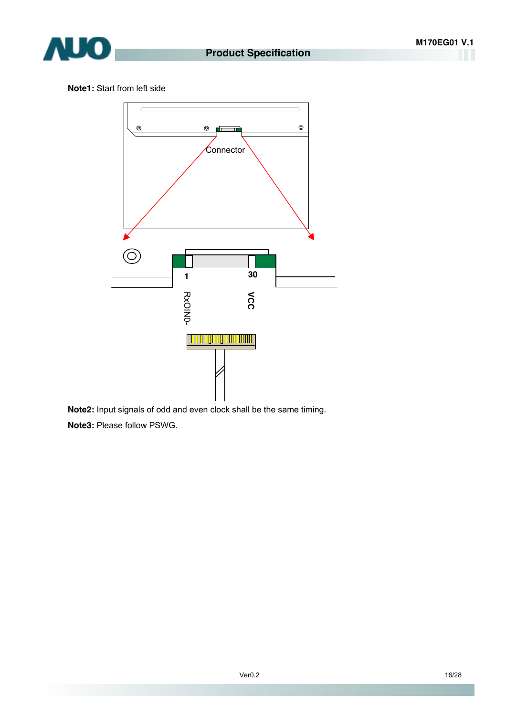

**Note1:** Start from left side



**Note2:** Input signals of odd and even clock shall be the same timing.

**Note3:** Please follow PSWG.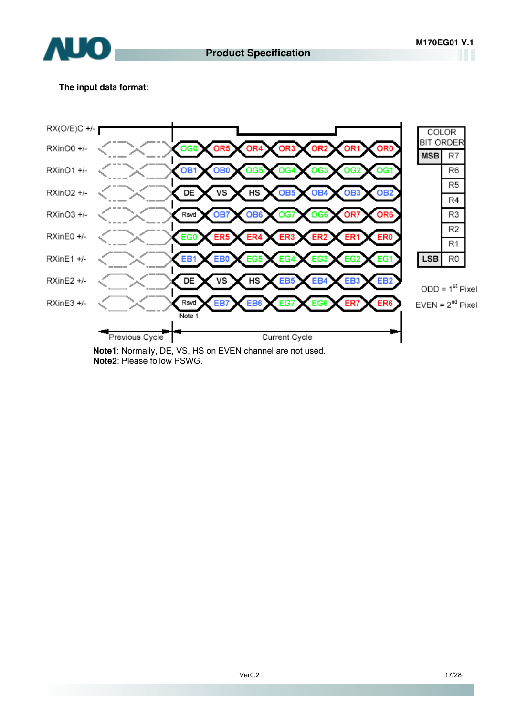

#### **The input data format**:



**Note1**: Normally, DE, VS, HS on EVEN channel are not used. **Note2**: Please follow PSWG.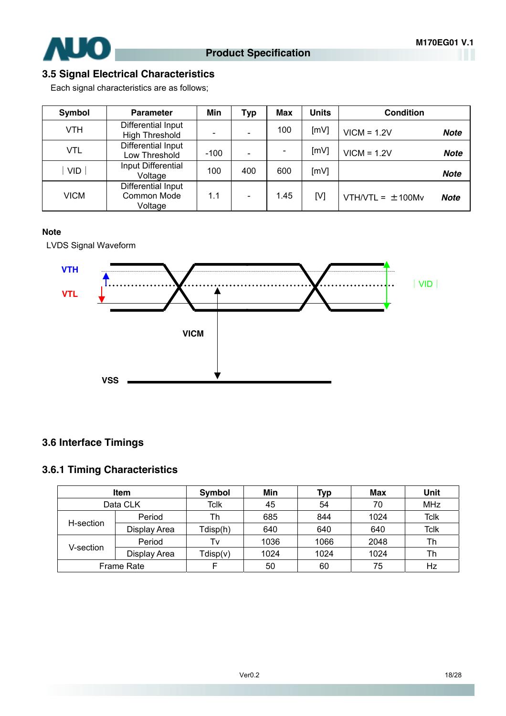

### **3.5 Signal Electrical Characteristics**

Each signal characteristics are as follows;

| Symbol     | <b>Parameter</b>                             | Min    | <b>Typ</b> | <b>Max</b> | <b>Units</b> | <b>Condition</b>                  |  |
|------------|----------------------------------------------|--------|------------|------------|--------------|-----------------------------------|--|
| VTH        | Differential Input<br><b>High Threshold</b>  |        |            | 100        | [mV]         | $VICM = 1.2V$<br><b>Note</b>      |  |
| VTL        | Differential Input<br>Low Threshold          | $-100$ |            |            | [mV]         | $VICM = 1.2V$<br><b>Note</b>      |  |
| <b>VID</b> | Input Differential<br>Voltage                | 100    | 400        | 600        | [mV]         | <b>Note</b>                       |  |
| VICM       | Differential Input<br>Common Mode<br>Voltage | 1.1    |            | 1.45       | [V]          | $VTH/VTL = ±100Mv$<br><b>Note</b> |  |

#### **Note**

LVDS Signal Waveform



### **3.6 Interface Timings**

#### **3.6.1 Timing Characteristics**

|           | Item              | Symbol   | Min  | Typ  | <b>Max</b> | Unit        |
|-----------|-------------------|----------|------|------|------------|-------------|
|           | Data CLK          | Tclk     | 45   | 54   | 70         | <b>MHz</b>  |
| H-section | Period            | Th       | 685  | 844  | 1024       | <b>Tclk</b> |
|           | Display Area      | Tdisp(h) | 640  | 640  | 640        | <b>Tclk</b> |
|           | Period            | Tv       | 1036 | 1066 | 2048       | Th          |
| V-section | Display Area      | Tdisp(v) | 1024 | 1024 | 1024       | Th          |
|           | <b>Frame Rate</b> |          | 50   | 60   | 75         | Hz          |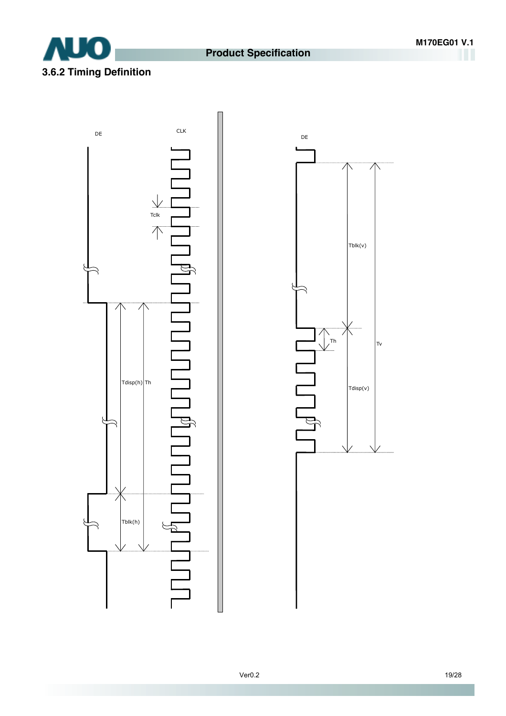### **Product Specification**





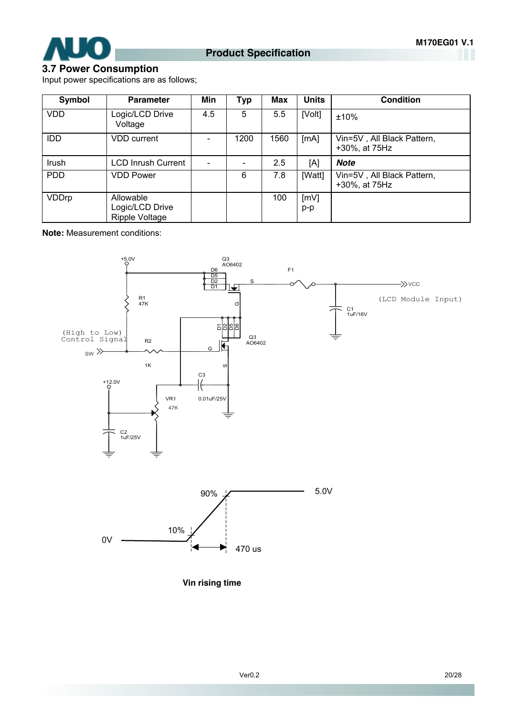

### **3.7 Power Consumption**

Input power specifications are as follows;

| <b>Symbol</b> | <b>Parameter</b>                               | Min | <b>Typ</b> | <b>Max</b> | <b>Units</b> | <b>Condition</b>                            |
|---------------|------------------------------------------------|-----|------------|------------|--------------|---------------------------------------------|
| <b>VDD</b>    | Logic/LCD Drive<br>Voltage                     | 4.5 | 5          | 5.5        | [Volt]       | ±10%                                        |
| IDD           | <b>VDD</b> current                             |     | 1200       | 1560       | [MA]         | Vin=5V, All Black Pattern,<br>+30%, at 75Hz |
| Irush         | <b>LCD Inrush Current</b>                      |     |            | 2.5        | [A]          | <b>Note</b>                                 |
| <b>PDD</b>    | <b>VDD Power</b>                               |     | 6          | 7.8        | [Watt]       | Vin=5V, All Black Pattern,<br>+30%, at 75Hz |
| VDDrp         | Allowable<br>Logic/LCD Drive<br>Ripple Voltage |     |            | 100        | [mV]<br>p-p  |                                             |

**Note:** Measurement conditions:



**Vin rising time**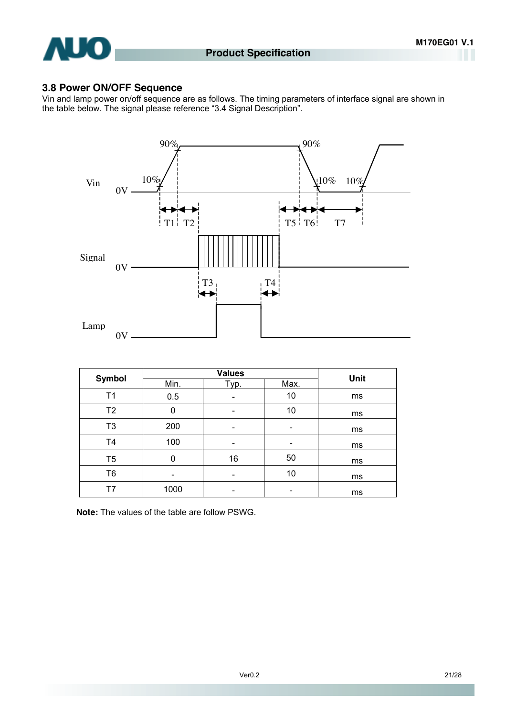

#### **3.8 Power ON/OFF Sequence**

Vin and lamp power on/off sequence are as follows. The timing parameters of interface signal are shown in the table below. The signal please reference "3.4 Signal Description".



| <b>Symbol</b>  |      | Unit |      |    |
|----------------|------|------|------|----|
|                | Min. | Typ. | Max. |    |
| Τ1             | 0.5  |      | 10   | ms |
| T <sub>2</sub> | 0    |      | 10   | ms |
| T <sub>3</sub> | 200  | -    |      | ms |
| T <sub>4</sub> | 100  |      |      | ms |
| T <sub>5</sub> | 0    | 16   | 50   | ms |
| T <sub>6</sub> |      |      | 10   | ms |
| Τ7             | 1000 |      |      | ms |

**Note:** The values of the table are follow PSWG.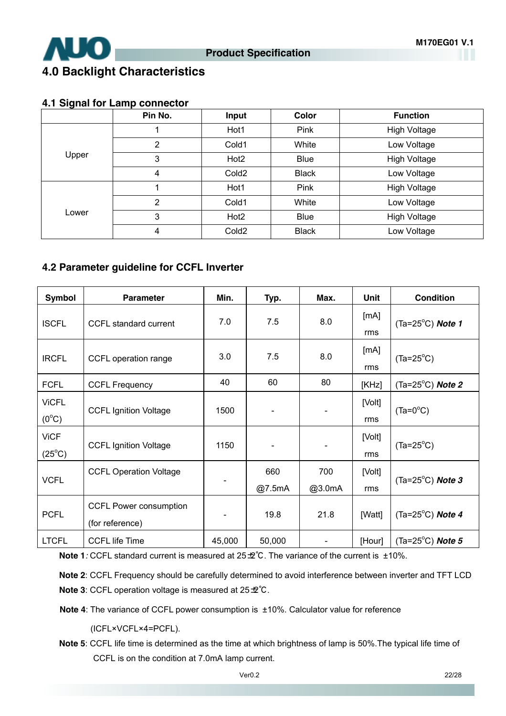

# **4.0 Backlight Characteristics**

#### **4.1 Signal for Lamp connector**

|       | Pin No. | Input             | Color        | <b>Function</b>     |
|-------|---------|-------------------|--------------|---------------------|
|       |         | Hot1              | Pink         | <b>High Voltage</b> |
| Upper | 2       | Cold1             | White        | Low Voltage         |
|       | 3       | Hot <sub>2</sub>  | <b>Blue</b>  | <b>High Voltage</b> |
|       | 4       | Cold <sub>2</sub> | <b>Black</b> | Low Voltage         |
|       |         | Hot1              | Pink         | <b>High Voltage</b> |
|       | 2       | Cold1             | White        | Low Voltage         |
| Lower | 3       | Hot <sub>2</sub>  | <b>Blue</b>  | <b>High Voltage</b> |
|       | 4       | Cold <sub>2</sub> | <b>Black</b> | Low Voltage         |

#### **4.2 Parameter guideline for CCFL Inverter**

| Symbol                         | <b>Parameter</b>                                 | Min.   | Typ.          | Max.          | Unit          | <b>Condition</b>            |
|--------------------------------|--------------------------------------------------|--------|---------------|---------------|---------------|-----------------------------|
| <b>ISCFL</b>                   | CCFL standard current                            | 7.0    | 7.5           | 8.0           | [mA]<br>rms   | (Ta=25 $^{\circ}$ C) Note 1 |
| <b>IRCFL</b>                   | CCFL operation range                             | 3.0    | 7.5           | 8.0           | [mA]<br>rms   | $(Ta=25^{\circ}C)$          |
| <b>FCFL</b>                    | <b>CCFL Frequency</b>                            | 40     | 60            | 80            | [KHz]         | (Ta=25 $^{\circ}$ C) Note 2 |
| <b>ViCFL</b><br>$(0^{\circ}C)$ | <b>CCFL Ignition Voltage</b>                     | 1500   |               |               | [Volt]<br>rms | $(Ta=0^{\circ}C)$           |
| <b>ViCF</b><br>$(25^{\circ}C)$ | <b>CCFL Ignition Voltage</b>                     | 1150   |               |               | [Volt]<br>rms | $(Ta=25^{\circ}C)$          |
| <b>VCFL</b>                    | <b>CCFL Operation Voltage</b>                    |        | 660<br>@7.5mA | 700<br>@3.0mA | [Volt]<br>rms | (Ta=25 $^{\circ}$ C) Note 3 |
| <b>PCFL</b>                    | <b>CCFL Power consumption</b><br>(for reference) |        | 19.8          | 21.8          | [Watt]        | (Ta=25 $^{\circ}$ C) Note 4 |
| <b>LTCFL</b>                   | <b>CCFL life Time</b>                            | 45,000 | 50,000        |               | [Hour]        | (Ta=25 $^{\circ}$ C) Note 5 |

**Note 1***:* CCFL standard current is measured at 25±2°C. The variance of the current is ±10%.

**Note 2**: CCFL Frequency should be carefully determined to avoid interference between inverter and TFT LCD **Note 3**: CCFL operation voltage is measured at 25±2℃.

**Note 4**: The variance of CCFL power consumption is ±10%. Calculator value for reference

(ICFL×VCFL×4=PCFL).

**Note 5**: CCFL life time is determined as the time at which brightness of lamp is 50%.The typical life time of CCFL is on the condition at 7.0mA lamp current.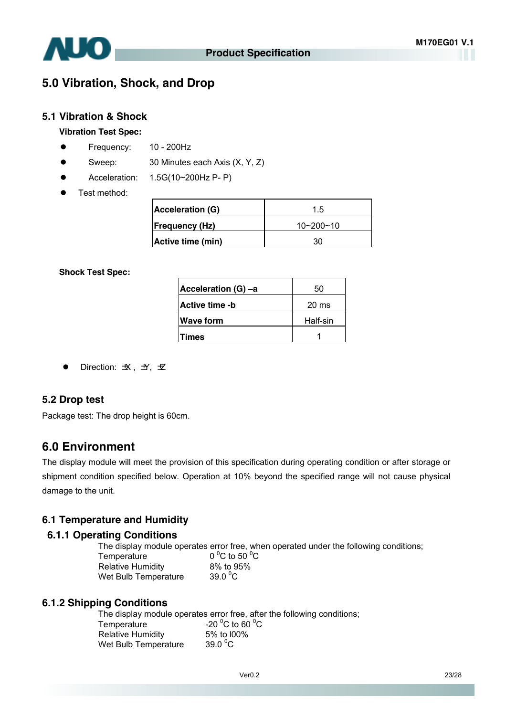

### **5.0 Vibration, Shock, and Drop**

#### **5.1 Vibration & Shock**

#### **Vibration Test Spec:**

- **•** Frequency: 10 200Hz
- $\bullet$  Sweep: 30 Minutes each Axis  $(X, Y, Z)$
- $\bullet$  Acceleration: 1.5G(10~200Hz P- P)
- Test method:

| Acceleration (G)      | 1.5             |
|-----------------------|-----------------|
| <b>Frequency (Hz)</b> | $10 - 200 - 10$ |
| Active time (min)     | ۹n              |

#### **Shock Test Spec:**

| Acceleration (G) -a   | 50               |
|-----------------------|------------------|
| <b>Active time -b</b> | 20 <sub>ms</sub> |
| <b>Wave form</b>      | Half-sin         |
| Times                 |                  |

Direction:  $\pm X$ ,  $\pm Y$ ,  $\pm Z$ 

#### **5.2 Drop test**

Package test: The drop height is 60cm.

#### **6.0 Environment**

The display module will meet the provision of this specification during operating condition or after storage or shipment condition specified below. Operation at 10% beyond the specified range will not cause physical damage to the unit.

#### **6.1 Temperature and Humidity**

#### **6.1.1 Operating Conditions**

The display module operates error free, when operated under the following conditions; Temperature C to 50  $^{\circ}$ C Relative Humidity 8% to 95%

Wet Bulb Temperature

39.0 $\mathrm{^0C}$ 

#### **6.1.2 Shipping Conditions**

The display module operates error free, after the following conditions;

| Temperature              | -20 $^{\circ}$ C to 60 $^{\circ}$ C |
|--------------------------|-------------------------------------|
| <b>Relative Humidity</b> | 5% to 100%                          |
| Wet Bulb Temperature     | 39.0 $\mathrm{^0C}$                 |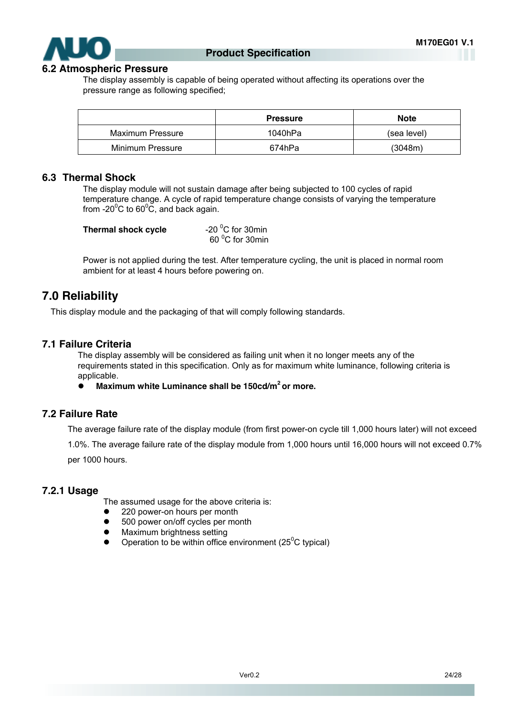

#### **6.2 Atmospheric Pressure**

The display assembly is capable of being operated without affecting its operations over the pressure range as following specified;

|                  | <b>Pressure</b> | <b>Note</b> |
|------------------|-----------------|-------------|
| Maximum Pressure | 1040hPa         | (sea level) |
| Minimum Pressure | 674hPa          | (3048m)     |

#### **6.3 Thermal Shock**

The display module will not sustain damage after being subjected to 100 cycles of rapid temperature change. A cycle of rapid temperature change consists of varying the temperature from -20 $\mathrm{^0C}$  to 60 $\mathrm{^0C}$ , and back again.

| Thermal shock cycle | -20 $\mathrm{^0C}$ for 30min |
|---------------------|------------------------------|
|                     | 60 °C for 30min              |

Power is not applied during the test. After temperature cycling, the unit is placed in normal room ambient for at least 4 hours before powering on.

#### **7.0 Reliability**

This display module and the packaging of that will comply following standards.

#### **7.1 Failure Criteria**

The display assembly will be considered as failing unit when it no longer meets any of the requirements stated in this specification. Only as for maximum white luminance, following criteria is applicable.

**Maximum white Luminance shall be 150cd/m<sup>2</sup> or more.** 

#### **7.2 Failure Rate**

The average failure rate of the display module (from first power-on cycle till 1,000 hours later) will not exceed

1.0%. The average failure rate of the display module from 1,000 hours until 16,000 hours will not exceed 0.7%

per 1000 hours.

#### **7.2.1 Usage**

The assumed usage for the above criteria is:

- 220 power-on hours per month
- 500 power on/off cycles per month
- Maximum brightness setting
- Operation to be within office environment ( $25^{\circ}$ C typical)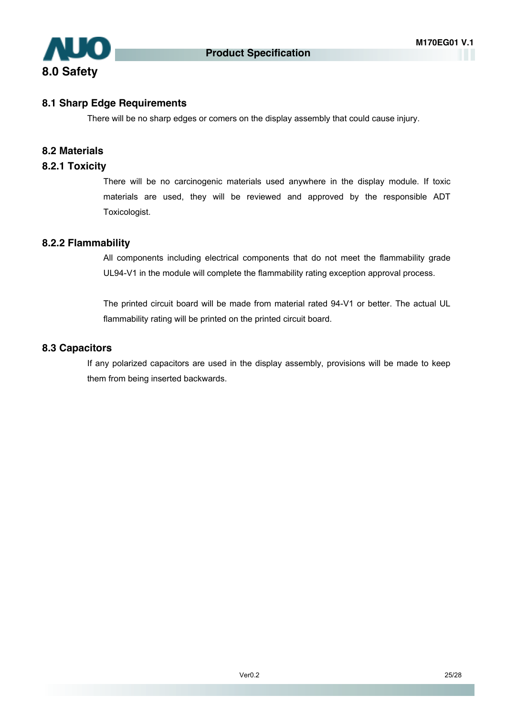

#### **8.1 Sharp Edge Requirements**

There will be no sharp edges or comers on the display assembly that could cause injury.

#### **8.2 Materials**

#### **8.2.1 Toxicity**

There will be no carcinogenic materials used anywhere in the display module. If toxic materials are used, they will be reviewed and approved by the responsible ADT Toxicologist.

#### **8.2.2 Flammability**

All components including electrical components that do not meet the flammability grade UL94-V1 in the module will complete the flammability rating exception approval process.

The printed circuit board will be made from material rated 94-V1 or better. The actual UL flammability rating will be printed on the printed circuit board.

#### **8.3 Capacitors**

If any polarized capacitors are used in the display assembly, provisions will be made to keep them from being inserted backwards.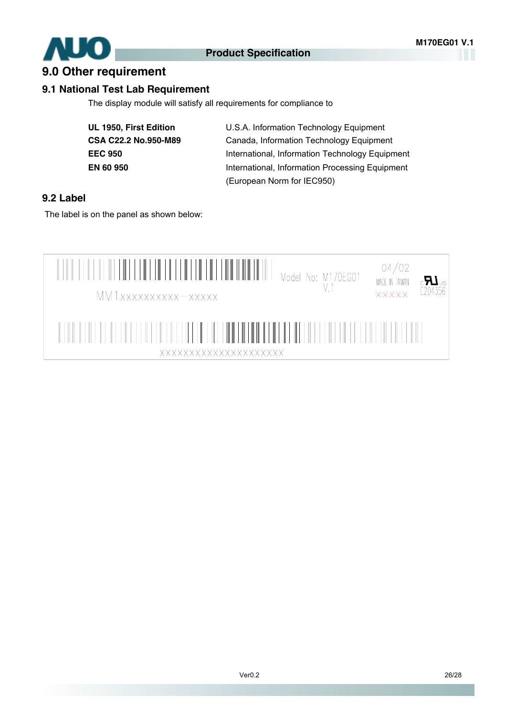

### **9.0 Other requirement**

#### **9.1 National Test Lab Requirement**

The display module will satisfy all requirements for compliance to

| UL 1950, First Edition      |
|-----------------------------|
| <b>CSA C22.2 No.950-M89</b> |
| EEC 950                     |
| EN 60 950                   |

**UL 1950, First Edition** U.S.A. Information Technology Equipment **CSA C22.2 No.950-M89** Canada, Information Technology Equipment **EEC 950** International, Information Technology Equipment **EN 60 950** International, Information Processing Equipment (European Norm for IEC950)

#### **9.2 Label**

The label is on the panel as shown below:

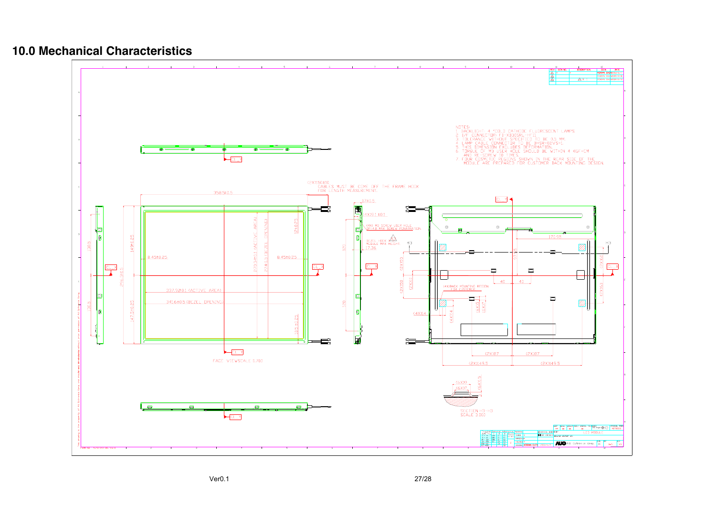### **10.0 Mechanical Characteristics**